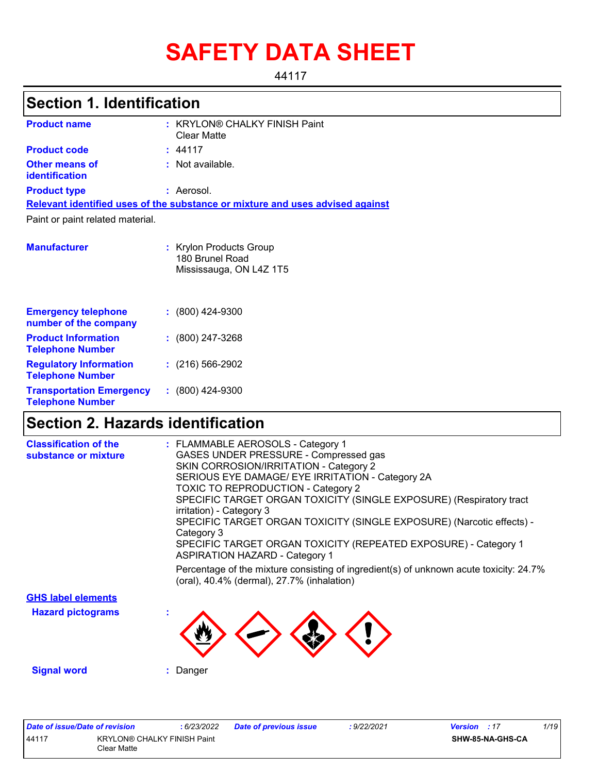# **SAFETY DATA SHEET**

44117

# **Section 1. Identification**

| <b>Product name</b>                                        | : KRYLON® CHALKY FINISH Paint<br><b>Clear Matte</b>                           |
|------------------------------------------------------------|-------------------------------------------------------------------------------|
| <b>Product code</b>                                        | : 44117                                                                       |
| <b>Other means of</b><br><b>identification</b>             | $:$ Not available.                                                            |
| <b>Product type</b>                                        | : Aerosol.                                                                    |
|                                                            | Relevant identified uses of the substance or mixture and uses advised against |
| Paint or paint related material.                           |                                                                               |
| <b>Manufacturer</b>                                        | : Krylon Products Group<br>180 Brunel Road<br>Mississauga, ON L4Z 1T5         |
| <b>Emergency telephone</b><br>number of the company        | $: (800)$ 424-9300                                                            |
| <b>Product Information</b><br><b>Telephone Number</b>      | $: (800)$ 247-3268                                                            |
| <b>Regulatory Information</b><br><b>Telephone Number</b>   | $: (216) 566 - 2902$                                                          |
| <b>Transportation Emergency</b><br><b>Telephone Number</b> | $: (800)$ 424-9300                                                            |

# **Section 2. Hazards identification**

| <b>Classification of the</b> | : FLAMMABLE AEROSOLS - Category 1                                                                                                    |
|------------------------------|--------------------------------------------------------------------------------------------------------------------------------------|
| substance or mixture         | GASES UNDER PRESSURE - Compressed gas                                                                                                |
|                              | SKIN CORROSION/IRRITATION - Category 2                                                                                               |
|                              | SERIOUS EYE DAMAGE/ EYE IRRITATION - Category 2A                                                                                     |
|                              | TOXIC TO REPRODUCTION - Category 2                                                                                                   |
|                              | SPECIFIC TARGET ORGAN TOXICITY (SINGLE EXPOSURE) (Respiratory tract                                                                  |
|                              | irritation) - Category 3<br>SPECIFIC TARGET ORGAN TOXICITY (SINGLE EXPOSURE) (Narcotic effects) -                                    |
|                              | Category 3                                                                                                                           |
|                              | SPECIFIC TARGET ORGAN TOXICITY (REPEATED EXPOSURE) - Category 1<br><b>ASPIRATION HAZARD - Category 1</b>                             |
|                              | Percentage of the mixture consisting of ingredient(s) of unknown acute toxicity: 24.7%<br>(oral), 40.4% (dermal), 27.7% (inhalation) |
| <b>GHS label elements</b>    |                                                                                                                                      |
| <b>Hazard pictograms</b>     |                                                                                                                                      |
|                              |                                                                                                                                      |
|                              |                                                                                                                                      |
| <b>Signal word</b>           | : Danger                                                                                                                             |
|                              |                                                                                                                                      |
|                              |                                                                                                                                      |
|                              |                                                                                                                                      |
|                              |                                                                                                                                      |

| Date of issue/Date of revision |                                    | 6/23/2022 | <b>Date of previous issue</b> | 9/22/2021 | <b>Version</b> : 17 | 1/19 |
|--------------------------------|------------------------------------|-----------|-------------------------------|-----------|---------------------|------|
| 44117                          | <b>KRYLON® CHALKY FINISH Paint</b> |           |                               |           | SHW-85-NA-GHS-CA    |      |
|                                | Clear Matte                        |           |                               |           |                     |      |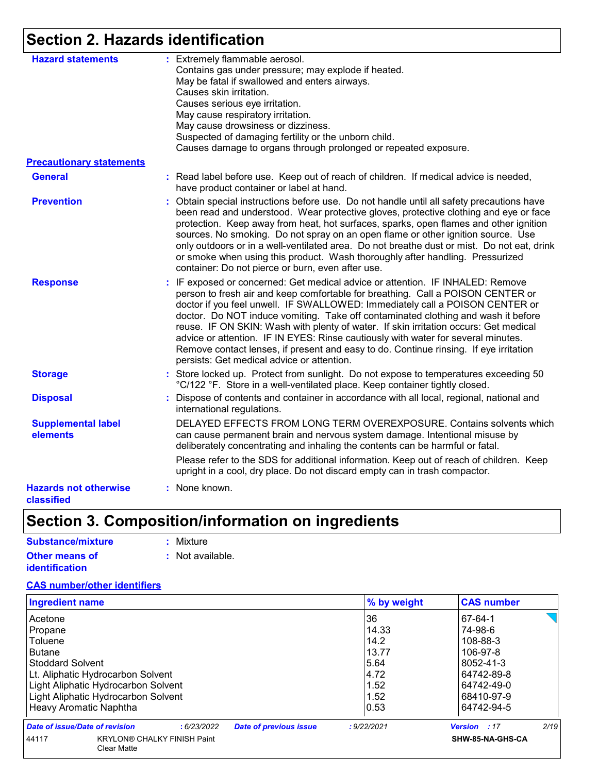# **Section 2. Hazards identification**

| <b>Hazard statements</b>                   | : Extremely flammable aerosol.<br>Contains gas under pressure; may explode if heated.<br>May be fatal if swallowed and enters airways.<br>Causes skin irritation.<br>Causes serious eye irritation.<br>May cause respiratory irritation.<br>May cause drowsiness or dizziness.<br>Suspected of damaging fertility or the unborn child.<br>Causes damage to organs through prolonged or repeated exposure.                                                                                                                                                                                                                                                  |
|--------------------------------------------|------------------------------------------------------------------------------------------------------------------------------------------------------------------------------------------------------------------------------------------------------------------------------------------------------------------------------------------------------------------------------------------------------------------------------------------------------------------------------------------------------------------------------------------------------------------------------------------------------------------------------------------------------------|
| <b>Precautionary statements</b>            |                                                                                                                                                                                                                                                                                                                                                                                                                                                                                                                                                                                                                                                            |
| <b>General</b>                             | : Read label before use. Keep out of reach of children. If medical advice is needed,<br>have product container or label at hand.                                                                                                                                                                                                                                                                                                                                                                                                                                                                                                                           |
| <b>Prevention</b>                          | : Obtain special instructions before use. Do not handle until all safety precautions have<br>been read and understood. Wear protective gloves, protective clothing and eye or face<br>protection. Keep away from heat, hot surfaces, sparks, open flames and other ignition<br>sources. No smoking. Do not spray on an open flame or other ignition source. Use<br>only outdoors or in a well-ventilated area. Do not breathe dust or mist. Do not eat, drink<br>or smoke when using this product. Wash thoroughly after handling. Pressurized<br>container: Do not pierce or burn, even after use.                                                        |
| <b>Response</b>                            | : IF exposed or concerned: Get medical advice or attention. IF INHALED: Remove<br>person to fresh air and keep comfortable for breathing. Call a POISON CENTER or<br>doctor if you feel unwell. IF SWALLOWED: Immediately call a POISON CENTER or<br>doctor. Do NOT induce vomiting. Take off contaminated clothing and wash it before<br>reuse. IF ON SKIN: Wash with plenty of water. If skin irritation occurs: Get medical<br>advice or attention. IF IN EYES: Rinse cautiously with water for several minutes.<br>Remove contact lenses, if present and easy to do. Continue rinsing. If eye irritation<br>persists: Get medical advice or attention. |
| <b>Storage</b>                             | : Store locked up. Protect from sunlight. Do not expose to temperatures exceeding 50<br>°C/122 °F. Store in a well-ventilated place. Keep container tightly closed.                                                                                                                                                                                                                                                                                                                                                                                                                                                                                        |
| <b>Disposal</b>                            | Dispose of contents and container in accordance with all local, regional, national and<br>international regulations.                                                                                                                                                                                                                                                                                                                                                                                                                                                                                                                                       |
| <b>Supplemental label</b><br>elements      | DELAYED EFFECTS FROM LONG TERM OVEREXPOSURE. Contains solvents which<br>can cause permanent brain and nervous system damage. Intentional misuse by<br>deliberately concentrating and inhaling the contents can be harmful or fatal.                                                                                                                                                                                                                                                                                                                                                                                                                        |
|                                            | Please refer to the SDS for additional information. Keep out of reach of children. Keep<br>upright in a cool, dry place. Do not discard empty can in trash compactor.                                                                                                                                                                                                                                                                                                                                                                                                                                                                                      |
| <b>Hazards not otherwise</b><br>classified | : None known.                                                                                                                                                                                                                                                                                                                                                                                                                                                                                                                                                                                                                                              |

# **Section 3. Composition/information on ingredients**

| : Mixture                   |
|-----------------------------|
| $\therefore$ Not available. |
|                             |
|                             |

### **CAS number/other identifiers**

| <b>Ingredient name</b>              |                                                          |            |                               | % by weight | <b>CAS number</b>   |      |
|-------------------------------------|----------------------------------------------------------|------------|-------------------------------|-------------|---------------------|------|
| Acetone                             |                                                          |            |                               | 36          | 67-64-1             |      |
| Propane                             |                                                          |            |                               | 14.33       | 74-98-6             |      |
| Toluene                             |                                                          |            |                               | 14.2        | 108-88-3            |      |
| <b>Butane</b>                       |                                                          |            |                               | 13.77       | 106-97-8            |      |
| <b>Stoddard Solvent</b>             |                                                          |            |                               | 5.64        | 8052-41-3           |      |
| Lt. Aliphatic Hydrocarbon Solvent   |                                                          |            |                               | 4.72        | 64742-89-8          |      |
| Light Aliphatic Hydrocarbon Solvent |                                                          |            | 1.52                          | 64742-49-0  |                     |      |
|                                     | Light Aliphatic Hydrocarbon Solvent                      |            |                               | 1.52        | 68410-97-9          |      |
| Heavy Aromatic Naphtha              |                                                          |            |                               | 0.53        | 64742-94-5          |      |
| Date of issue/Date of revision      |                                                          | :6/23/2022 | <b>Date of previous issue</b> | : 9/22/2021 | <b>Version</b> : 17 | 2/19 |
| 44117                               | <b>KRYLON® CHALKY FINISH Paint</b><br><b>Clear Matte</b> |            |                               |             | SHW-85-NA-GHS-CA    |      |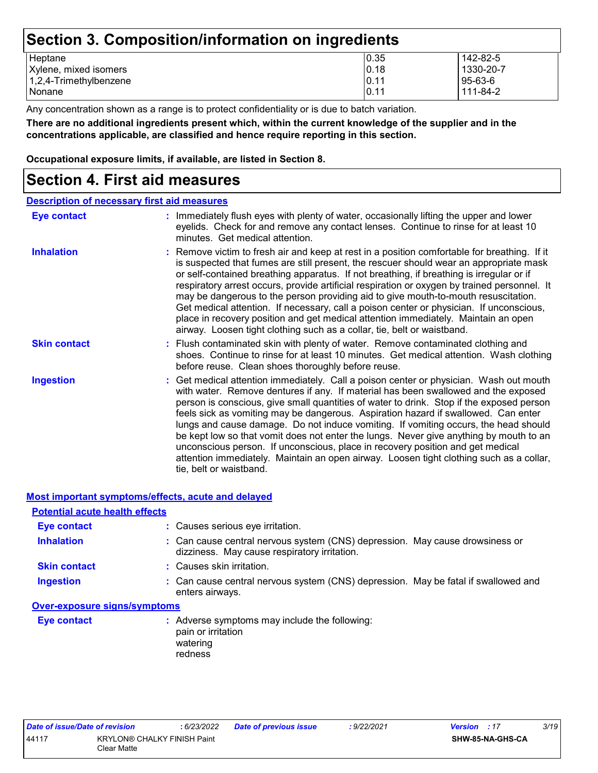## **Section 3. Composition/information on ingredients**

| Heptane                   | 0.35 | 142-82-5      |
|---------------------------|------|---------------|
| Xylene, mixed isomers     | 0.18 | 1330-20-7     |
| $1,2,4$ -Trimethylbenzene | 0.11 | $95 - 63 - 6$ |
| Nonane                    | 0.11 | 111-84-2      |

Any concentration shown as a range is to protect confidentiality or is due to batch variation.

**There are no additional ingredients present which, within the current knowledge of the supplier and in the concentrations applicable, are classified and hence require reporting in this section.**

**Occupational exposure limits, if available, are listed in Section 8.**

### **Section 4. First aid measures**

| <b>Description of necessary first aid measures</b> |                                                                                                                                                                                                                                                                                                                                                                                                                                                                                                                                                                                                                                                                                                                                                         |
|----------------------------------------------------|---------------------------------------------------------------------------------------------------------------------------------------------------------------------------------------------------------------------------------------------------------------------------------------------------------------------------------------------------------------------------------------------------------------------------------------------------------------------------------------------------------------------------------------------------------------------------------------------------------------------------------------------------------------------------------------------------------------------------------------------------------|
| <b>Eye contact</b>                                 | : Immediately flush eyes with plenty of water, occasionally lifting the upper and lower<br>eyelids. Check for and remove any contact lenses. Continue to rinse for at least 10<br>minutes. Get medical attention.                                                                                                                                                                                                                                                                                                                                                                                                                                                                                                                                       |
| <b>Inhalation</b>                                  | : Remove victim to fresh air and keep at rest in a position comfortable for breathing. If it<br>is suspected that fumes are still present, the rescuer should wear an appropriate mask<br>or self-contained breathing apparatus. If not breathing, if breathing is irregular or if<br>respiratory arrest occurs, provide artificial respiration or oxygen by trained personnel. It<br>may be dangerous to the person providing aid to give mouth-to-mouth resuscitation.<br>Get medical attention. If necessary, call a poison center or physician. If unconscious,<br>place in recovery position and get medical attention immediately. Maintain an open<br>airway. Loosen tight clothing such as a collar, tie, belt or waistband.                    |
| <b>Skin contact</b>                                | : Flush contaminated skin with plenty of water. Remove contaminated clothing and<br>shoes. Continue to rinse for at least 10 minutes. Get medical attention. Wash clothing<br>before reuse. Clean shoes thoroughly before reuse.                                                                                                                                                                                                                                                                                                                                                                                                                                                                                                                        |
| <b>Ingestion</b>                                   | : Get medical attention immediately. Call a poison center or physician. Wash out mouth<br>with water. Remove dentures if any. If material has been swallowed and the exposed<br>person is conscious, give small quantities of water to drink. Stop if the exposed person<br>feels sick as vomiting may be dangerous. Aspiration hazard if swallowed. Can enter<br>lungs and cause damage. Do not induce vomiting. If vomiting occurs, the head should<br>be kept low so that vomit does not enter the lungs. Never give anything by mouth to an<br>unconscious person. If unconscious, place in recovery position and get medical<br>attention immediately. Maintain an open airway. Loosen tight clothing such as a collar,<br>tie, belt or waistband. |

**Most important symptoms/effects, acute and delayed**

| <b>Potential acute health effects</b> |                                                                                                                              |
|---------------------------------------|------------------------------------------------------------------------------------------------------------------------------|
| <b>Eye contact</b>                    | : Causes serious eye irritation.                                                                                             |
| <b>Inhalation</b>                     | : Can cause central nervous system (CNS) depression. May cause drowsiness or<br>dizziness. May cause respiratory irritation. |
| <b>Skin contact</b>                   | : Causes skin irritation.                                                                                                    |
| <b>Ingestion</b>                      | : Can cause central nervous system (CNS) depression. May be fatal if swallowed and<br>enters airways.                        |
| <b>Over-exposure signs/symptoms</b>   |                                                                                                                              |
| <b>Eye contact</b>                    | Adverse symptoms may include the following:<br>pain or irritation                                                            |

| watering<br>redness |
|---------------------|
|                     |

| Date of issue/Date of revision |                                                   | : 6/23/2022 | <b>Date of previous issue</b> | : 9/22/2021 | <b>Version</b> : 17 | 3/19 |
|--------------------------------|---------------------------------------------------|-------------|-------------------------------|-------------|---------------------|------|
| 44117                          | <b>KRYLON® CHALKY FINISH Paint</b><br>Clear Matte |             |                               |             | SHW-85-NA-GHS-CA    |      |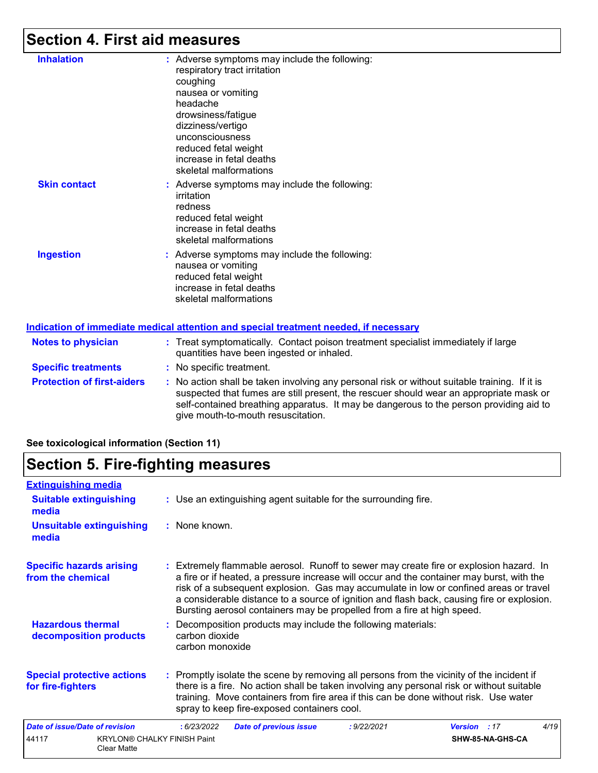# **Section 4. First aid measures**

| <b>Inhalation</b>   | : Adverse symptoms may include the following:<br>respiratory tract irritation<br>coughing<br>nausea or vomiting<br>headache<br>drowsiness/fatigue<br>dizziness/vertigo<br>unconsciousness<br>reduced fetal weight<br>increase in fetal deaths<br>skeletal malformations |
|---------------------|-------------------------------------------------------------------------------------------------------------------------------------------------------------------------------------------------------------------------------------------------------------------------|
| <b>Skin contact</b> | : Adverse symptoms may include the following:<br>irritation<br>redness<br>reduced fetal weight<br>increase in fetal deaths<br>skeletal malformations                                                                                                                    |
| <b>Ingestion</b>    | : Adverse symptoms may include the following:<br>nausea or vomiting<br>reduced fetal weight<br>increase in fetal deaths<br>skeletal malformations                                                                                                                       |
|                     | <u>Indication of immediate medical attention and special treatment needed, if necessary</u>                                                                                                                                                                             |

| <b>Notes to physician</b>         | : Treat symptomatically. Contact poison treatment specialist immediately if large<br>quantities have been ingested or inhaled.                                                                                                                                                                                          |
|-----------------------------------|-------------------------------------------------------------------------------------------------------------------------------------------------------------------------------------------------------------------------------------------------------------------------------------------------------------------------|
| <b>Specific treatments</b>        | : No specific treatment.                                                                                                                                                                                                                                                                                                |
| <b>Protection of first-aiders</b> | : No action shall be taken involving any personal risk or without suitable training. If it is<br>suspected that fumes are still present, the rescuer should wear an appropriate mask or<br>self-contained breathing apparatus. It may be dangerous to the person providing aid to<br>give mouth-to-mouth resuscitation. |

### **See toxicological information (Section 11)**

## **Section 5. Fire-fighting measures**

| <b>Extinguishing media</b>                                        |                                                                                                                                                                                                                                                                                                                                                                                                                                                       |
|-------------------------------------------------------------------|-------------------------------------------------------------------------------------------------------------------------------------------------------------------------------------------------------------------------------------------------------------------------------------------------------------------------------------------------------------------------------------------------------------------------------------------------------|
| <b>Suitable extinguishing</b><br>media                            | : Use an extinguishing agent suitable for the surrounding fire.                                                                                                                                                                                                                                                                                                                                                                                       |
| <b>Unsuitable extinguishing</b><br>media                          | : None known.                                                                                                                                                                                                                                                                                                                                                                                                                                         |
| <b>Specific hazards arising</b><br>from the chemical              | : Extremely flammable aerosol. Runoff to sewer may create fire or explosion hazard. In<br>a fire or if heated, a pressure increase will occur and the container may burst, with the<br>risk of a subsequent explosion. Gas may accumulate in low or confined areas or travel<br>a considerable distance to a source of ignition and flash back, causing fire or explosion.<br>Bursting aerosol containers may be propelled from a fire at high speed. |
| <b>Hazardous thermal</b><br>decomposition products                | : Decomposition products may include the following materials:<br>carbon dioxide<br>carbon monoxide                                                                                                                                                                                                                                                                                                                                                    |
| <b>Special protective actions</b><br>for fire-fighters            | : Promptly isolate the scene by removing all persons from the vicinity of the incident if<br>there is a fire. No action shall be taken involving any personal risk or without suitable<br>training. Move containers from fire area if this can be done without risk. Use water<br>spray to keep fire-exposed containers cool.                                                                                                                         |
| Date of issue/Date of revision                                    | 4/19<br>: 6/23/2022<br><b>Date of previous issue</b><br>: 9/22/2021<br><b>Version</b> : 17                                                                                                                                                                                                                                                                                                                                                            |
| 44117<br><b>KRYLON® CHALKY FINISH Paint</b><br><b>Clear Matte</b> | SHW-85-NA-GHS-CA                                                                                                                                                                                                                                                                                                                                                                                                                                      |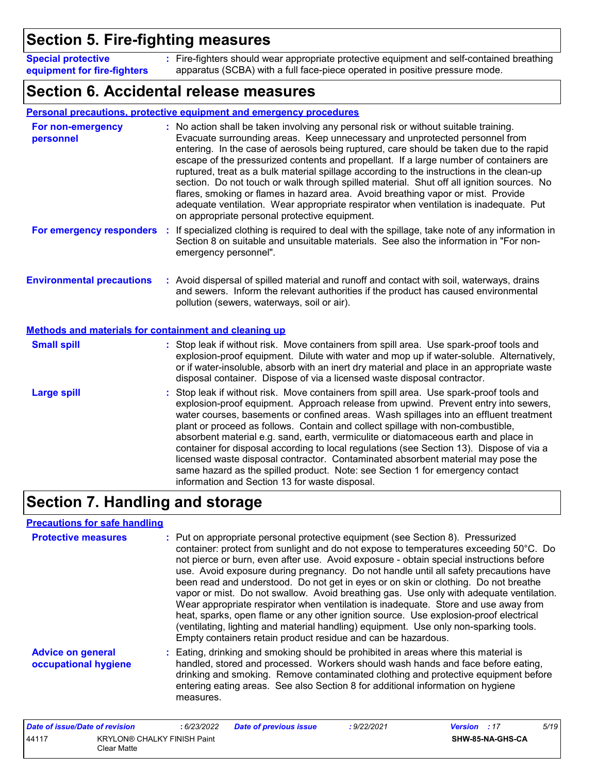## **Section 5. Fire-fighting measures**

**Special protective equipment for fire-fighters :**

Fire-fighters should wear appropriate protective equipment and self-contained breathing apparatus (SCBA) with a full face-piece operated in positive pressure mode.

### **Section 6. Accidental release measures**

|                                                                                           | <b>Personal precautions, protective equipment and emergency procedures</b>                                                                                                                                                                                                                                                                                                                                                                                                                                                                                                                                                                                                                                                                                                       |
|-------------------------------------------------------------------------------------------|----------------------------------------------------------------------------------------------------------------------------------------------------------------------------------------------------------------------------------------------------------------------------------------------------------------------------------------------------------------------------------------------------------------------------------------------------------------------------------------------------------------------------------------------------------------------------------------------------------------------------------------------------------------------------------------------------------------------------------------------------------------------------------|
| For non-emergency<br>personnel                                                            | : No action shall be taken involving any personal risk or without suitable training.<br>Evacuate surrounding areas. Keep unnecessary and unprotected personnel from<br>entering. In the case of aerosols being ruptured, care should be taken due to the rapid<br>escape of the pressurized contents and propellant. If a large number of containers are<br>ruptured, treat as a bulk material spillage according to the instructions in the clean-up<br>section. Do not touch or walk through spilled material. Shut off all ignition sources. No<br>flares, smoking or flames in hazard area. Avoid breathing vapor or mist. Provide<br>adequate ventilation. Wear appropriate respirator when ventilation is inadequate. Put<br>on appropriate personal protective equipment. |
| For emergency responders                                                                  | If specialized clothing is required to deal with the spillage, take note of any information in<br>÷<br>Section 8 on suitable and unsuitable materials. See also the information in "For non-<br>emergency personnel".                                                                                                                                                                                                                                                                                                                                                                                                                                                                                                                                                            |
| <b>Environmental precautions</b><br>Methods and materials for containment and cleaning up | : Avoid dispersal of spilled material and runoff and contact with soil, waterways, drains<br>and sewers. Inform the relevant authorities if the product has caused environmental<br>pollution (sewers, waterways, soil or air).                                                                                                                                                                                                                                                                                                                                                                                                                                                                                                                                                  |
| <b>Small spill</b>                                                                        | : Stop leak if without risk. Move containers from spill area. Use spark-proof tools and<br>explosion-proof equipment. Dilute with water and mop up if water-soluble. Alternatively,<br>or if water-insoluble, absorb with an inert dry material and place in an appropriate waste<br>disposal container. Dispose of via a licensed waste disposal contractor.                                                                                                                                                                                                                                                                                                                                                                                                                    |
| <b>Large spill</b>                                                                        | : Stop leak if without risk. Move containers from spill area. Use spark-proof tools and<br>explosion-proof equipment. Approach release from upwind. Prevent entry into sewers,<br>water courses, basements or confined areas. Wash spillages into an effluent treatment<br>plant or proceed as follows. Contain and collect spillage with non-combustible,<br>absorbent material e.g. sand, earth, vermiculite or diatomaceous earth and place in<br>container for disposal according to local regulations (see Section 13). Dispose of via a<br>licensed waste disposal contractor. Contaminated absorbent material may pose the<br>same hazard as the spilled product. Note: see Section 1 for emergency contact<br>information and Section 13 for waste disposal.             |

# **Section 7. Handling and storage**

### **Precautions for safe handling**

| <b>Protective measures</b>                       | : Put on appropriate personal protective equipment (see Section 8). Pressurized                                                                                                                                                                                                                                                                                                                                                                                                                                                                                                                                                                                                                                                                                                                       |
|--------------------------------------------------|-------------------------------------------------------------------------------------------------------------------------------------------------------------------------------------------------------------------------------------------------------------------------------------------------------------------------------------------------------------------------------------------------------------------------------------------------------------------------------------------------------------------------------------------------------------------------------------------------------------------------------------------------------------------------------------------------------------------------------------------------------------------------------------------------------|
|                                                  | container: protect from sunlight and do not expose to temperatures exceeding 50°C. Do<br>not pierce or burn, even after use. Avoid exposure - obtain special instructions before<br>use. Avoid exposure during pregnancy. Do not handle until all safety precautions have<br>been read and understood. Do not get in eyes or on skin or clothing. Do not breathe<br>vapor or mist. Do not swallow. Avoid breathing gas. Use only with adequate ventilation.<br>Wear appropriate respirator when ventilation is inadequate. Store and use away from<br>heat, sparks, open flame or any other ignition source. Use explosion-proof electrical<br>(ventilating, lighting and material handling) equipment. Use only non-sparking tools.<br>Empty containers retain product residue and can be hazardous. |
| <b>Advice on general</b><br>occupational hygiene | : Eating, drinking and smoking should be prohibited in areas where this material is<br>handled, stored and processed. Workers should wash hands and face before eating,<br>drinking and smoking. Remove contaminated clothing and protective equipment before<br>entering eating areas. See also Section 8 for additional information on hygiene<br>measures.                                                                                                                                                                                                                                                                                                                                                                                                                                         |

| Date of issue/Date of revision |                                                   | : 6/23/2022 | <b>Date of previous issue</b> | : 9/22/2021 | <b>Version</b> : 17 |                  | 5/19 |
|--------------------------------|---------------------------------------------------|-------------|-------------------------------|-------------|---------------------|------------------|------|
| 44117                          | <b>KRYLON® CHALKY FINISH Paint</b><br>Clear Matte |             |                               |             |                     | SHW-85-NA-GHS-CA |      |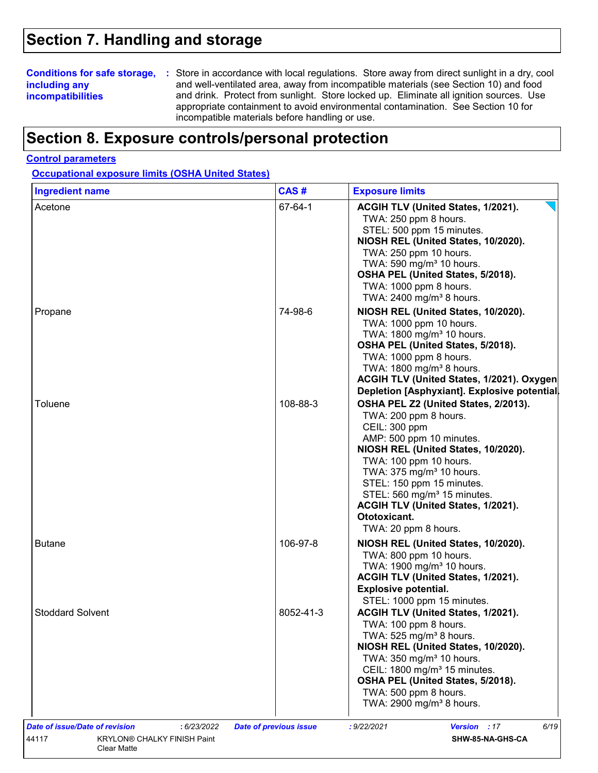## **Section 7. Handling and storage**

### **including any incompatibilities**

**Conditions for safe storage,** : Store in accordance with local regulations. Store away from direct sunlight in a dry, cool and well-ventilated area, away from incompatible materials (see Section 10) and food and drink. Protect from sunlight. Store locked up. Eliminate all ignition sources. Use appropriate containment to avoid environmental contamination. See Section 10 for incompatible materials before handling or use.

## **Section 8. Exposure controls/personal protection**

#### **Control parameters**

**Occupational exposure limits (OSHA United States)**

| <b>Ingredient name</b>  | CAS#      | <b>Exposure limits</b>                                                                                                                                                                                                                                                                                                                                                    |
|-------------------------|-----------|---------------------------------------------------------------------------------------------------------------------------------------------------------------------------------------------------------------------------------------------------------------------------------------------------------------------------------------------------------------------------|
| Acetone                 | 67-64-1   | ACGIH TLV (United States, 1/2021).<br>TWA: 250 ppm 8 hours.<br>STEL: 500 ppm 15 minutes.<br>NIOSH REL (United States, 10/2020).<br>TWA: 250 ppm 10 hours.<br>TWA: 590 mg/m <sup>3</sup> 10 hours.<br>OSHA PEL (United States, 5/2018).<br>TWA: 1000 ppm 8 hours.<br>TWA: 2400 mg/m <sup>3</sup> 8 hours.                                                                  |
| Propane                 | 74-98-6   | NIOSH REL (United States, 10/2020).<br>TWA: 1000 ppm 10 hours.<br>TWA: 1800 mg/m <sup>3</sup> 10 hours.<br>OSHA PEL (United States, 5/2018).<br>TWA: 1000 ppm 8 hours.<br>TWA: 1800 mg/m <sup>3</sup> 8 hours.<br>ACGIH TLV (United States, 1/2021). Oxygen<br>Depletion [Asphyxiant]. Explosive potential.                                                               |
| Toluene                 | 108-88-3  | OSHA PEL Z2 (United States, 2/2013).<br>TWA: 200 ppm 8 hours.<br>CEIL: 300 ppm<br>AMP: 500 ppm 10 minutes.<br>NIOSH REL (United States, 10/2020).<br>TWA: 100 ppm 10 hours.<br>TWA: 375 mg/m <sup>3</sup> 10 hours.<br>STEL: 150 ppm 15 minutes.<br>STEL: 560 mg/m <sup>3</sup> 15 minutes.<br>ACGIH TLV (United States, 1/2021).<br>Ototoxicant.<br>TWA: 20 ppm 8 hours. |
| <b>Butane</b>           | 106-97-8  | NIOSH REL (United States, 10/2020).<br>TWA: 800 ppm 10 hours.<br>TWA: 1900 mg/m <sup>3</sup> 10 hours.<br>ACGIH TLV (United States, 1/2021).<br><b>Explosive potential.</b><br>STEL: 1000 ppm 15 minutes.                                                                                                                                                                 |
| <b>Stoddard Solvent</b> | 8052-41-3 | ACGIH TLV (United States, 1/2021).<br>TWA: 100 ppm 8 hours.<br>TWA: 525 mg/m <sup>3</sup> 8 hours.<br>NIOSH REL (United States, 10/2020).<br>TWA: 350 mg/m <sup>3</sup> 10 hours.<br>CEIL: 1800 mg/m <sup>3</sup> 15 minutes.<br>OSHA PEL (United States, 5/2018).<br>TWA: 500 ppm 8 hours.<br>TWA: 2900 mg/m <sup>3</sup> 8 hours.                                       |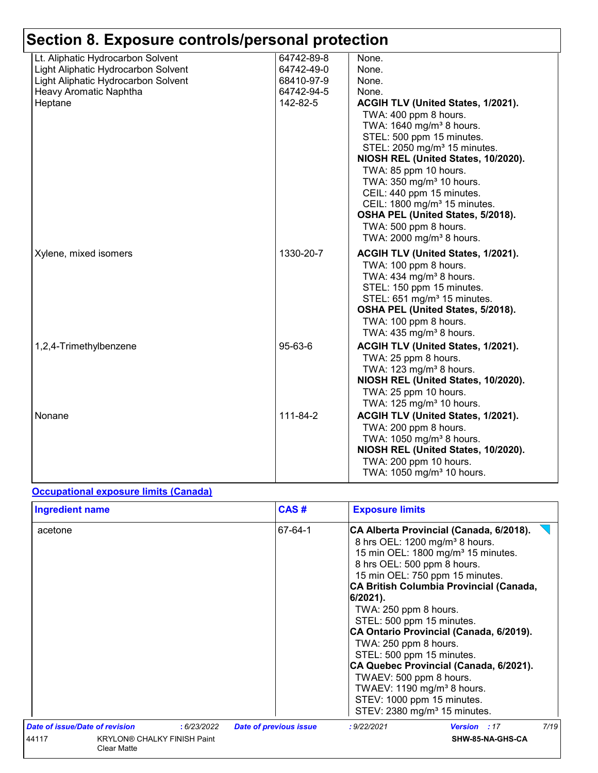| Lt. Aliphatic Hydrocarbon Solvent   | 64742-89-8    | None.                                     |
|-------------------------------------|---------------|-------------------------------------------|
| Light Aliphatic Hydrocarbon Solvent | 64742-49-0    | None.                                     |
| Light Aliphatic Hydrocarbon Solvent | 68410-97-9    | None.                                     |
| Heavy Aromatic Naphtha              | 64742-94-5    | None.                                     |
| Heptane                             | 142-82-5      | ACGIH TLV (United States, 1/2021).        |
|                                     |               | TWA: 400 ppm 8 hours.                     |
|                                     |               | TWA: 1640 mg/m <sup>3</sup> 8 hours.      |
|                                     |               | STEL: 500 ppm 15 minutes.                 |
|                                     |               | STEL: 2050 mg/m <sup>3</sup> 15 minutes.  |
|                                     |               | NIOSH REL (United States, 10/2020).       |
|                                     |               | TWA: 85 ppm 10 hours.                     |
|                                     |               | TWA: 350 mg/m <sup>3</sup> 10 hours.      |
|                                     |               | CEIL: 440 ppm 15 minutes.                 |
|                                     |               | CEIL: 1800 mg/m <sup>3</sup> 15 minutes.  |
|                                     |               | OSHA PEL (United States, 5/2018).         |
|                                     |               | TWA: 500 ppm 8 hours.                     |
|                                     |               | TWA: 2000 mg/m <sup>3</sup> 8 hours.      |
|                                     |               |                                           |
| Xylene, mixed isomers               | 1330-20-7     | ACGIH TLV (United States, 1/2021).        |
|                                     |               | TWA: 100 ppm 8 hours.                     |
|                                     |               | TWA: 434 mg/m <sup>3</sup> 8 hours.       |
|                                     |               | STEL: 150 ppm 15 minutes.                 |
|                                     |               | STEL: 651 mg/m <sup>3</sup> 15 minutes.   |
|                                     |               | OSHA PEL (United States, 5/2018).         |
|                                     |               | TWA: 100 ppm 8 hours.                     |
|                                     |               | TWA: 435 mg/m <sup>3</sup> 8 hours.       |
| 1,2,4-Trimethylbenzene              | $95 - 63 - 6$ | <b>ACGIH TLV (United States, 1/2021).</b> |
|                                     |               | TWA: 25 ppm 8 hours.                      |
|                                     |               | TWA: 123 mg/m <sup>3</sup> 8 hours.       |
|                                     |               | NIOSH REL (United States, 10/2020).       |
|                                     |               | TWA: 25 ppm 10 hours.                     |
|                                     |               | TWA: 125 mg/m <sup>3</sup> 10 hours.      |
| Nonane                              | 111-84-2      | ACGIH TLV (United States, 1/2021).        |
|                                     |               | TWA: 200 ppm 8 hours.                     |
|                                     |               | TWA: 1050 mg/m <sup>3</sup> 8 hours.      |
|                                     |               | NIOSH REL (United States, 10/2020).       |
|                                     |               | TWA: 200 ppm 10 hours.                    |
|                                     |               | TWA: 1050 mg/m <sup>3</sup> 10 hours.     |
|                                     |               |                                           |

### **Occupational exposure limits (Canada)**

| <b>Ingredient name</b>                                     | CAS#<br><b>Exposure limits</b> |                               |                                                                                                                                                                                                                                                                                                                                                                                                                                                                                                                                                                                                                  |      |  |
|------------------------------------------------------------|--------------------------------|-------------------------------|------------------------------------------------------------------------------------------------------------------------------------------------------------------------------------------------------------------------------------------------------------------------------------------------------------------------------------------------------------------------------------------------------------------------------------------------------------------------------------------------------------------------------------------------------------------------------------------------------------------|------|--|
| acetone                                                    |                                | 67-64-1                       | CA Alberta Provincial (Canada, 6/2018).<br>8 hrs OEL: 1200 mg/m <sup>3</sup> 8 hours.<br>15 min OEL: 1800 mg/m <sup>3</sup> 15 minutes.<br>8 hrs OEL: 500 ppm 8 hours.<br>15 min OEL: 750 ppm 15 minutes.<br>CA British Columbia Provincial (Canada,<br>6/2021).<br>TWA: 250 ppm 8 hours.<br>STEL: 500 ppm 15 minutes.<br>CA Ontario Provincial (Canada, 6/2019).<br>TWA: 250 ppm 8 hours.<br>STEL: 500 ppm 15 minutes.<br>CA Quebec Provincial (Canada, 6/2021).<br>TWAEV: 500 ppm 8 hours.<br>TWAEV: 1190 mg/m <sup>3</sup> 8 hours.<br>STEV: 1000 ppm 15 minutes.<br>STEV: 2380 mg/m <sup>3</sup> 15 minutes. |      |  |
| <b>Date of issue/Date of revision</b>                      | : 6/23/2022                    | <b>Date of previous issue</b> | : 9/22/2021<br><b>Version</b> : 17                                                                                                                                                                                                                                                                                                                                                                                                                                                                                                                                                                               | 7/19 |  |
| <b>KRYLON® CHALKY FINISH Paint</b><br>44117<br>Clear Matte |                                |                               | SHW-85-NA-GHS-CA                                                                                                                                                                                                                                                                                                                                                                                                                                                                                                                                                                                                 |      |  |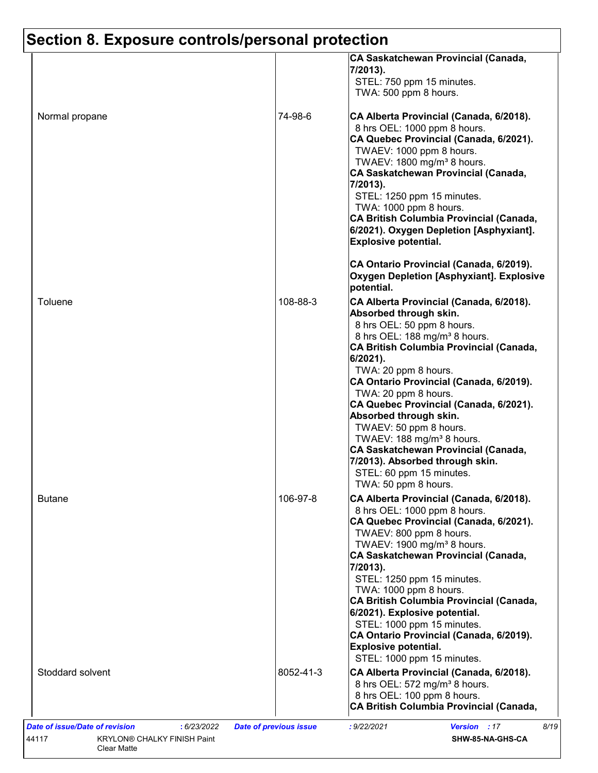|                  |           | CA Saskatchewan Provincial (Canada,<br>7/2013).<br>STEL: 750 ppm 15 minutes.<br>TWA: 500 ppm 8 hours.                                                                                                                                                                                                                                                                                                                                                                                                                                                                      |
|------------------|-----------|----------------------------------------------------------------------------------------------------------------------------------------------------------------------------------------------------------------------------------------------------------------------------------------------------------------------------------------------------------------------------------------------------------------------------------------------------------------------------------------------------------------------------------------------------------------------------|
| Normal propane   | 74-98-6   | CA Alberta Provincial (Canada, 6/2018).<br>8 hrs OEL: 1000 ppm 8 hours.<br>CA Quebec Provincial (Canada, 6/2021).<br>TWAEV: 1000 ppm 8 hours.<br>TWAEV: 1800 mg/m <sup>3</sup> 8 hours.<br>CA Saskatchewan Provincial (Canada,<br>7/2013).<br>STEL: 1250 ppm 15 minutes.<br>TWA: 1000 ppm 8 hours.<br>CA British Columbia Provincial (Canada,<br>6/2021). Oxygen Depletion [Asphyxiant].<br><b>Explosive potential.</b>                                                                                                                                                    |
|                  |           | CA Ontario Provincial (Canada, 6/2019).<br>Oxygen Depletion [Asphyxiant]. Explosive<br>potential.                                                                                                                                                                                                                                                                                                                                                                                                                                                                          |
| Toluene          | 108-88-3  | CA Alberta Provincial (Canada, 6/2018).<br>Absorbed through skin.<br>8 hrs OEL: 50 ppm 8 hours.<br>8 hrs OEL: 188 mg/m <sup>3</sup> 8 hours.<br>CA British Columbia Provincial (Canada,<br>6/2021).<br>TWA: 20 ppm 8 hours.<br>CA Ontario Provincial (Canada, 6/2019).<br>TWA: 20 ppm 8 hours.<br>CA Quebec Provincial (Canada, 6/2021).<br>Absorbed through skin.<br>TWAEV: 50 ppm 8 hours.<br>TWAEV: 188 mg/m <sup>3</sup> 8 hours.<br><b>CA Saskatchewan Provincial (Canada,</b><br>7/2013). Absorbed through skin.<br>STEL: 60 ppm 15 minutes.<br>TWA: 50 ppm 8 hours. |
| Butane           | 106-97-8  | CA Alberta Provincial (Canada, 6/2018).<br>8 hrs OEL: 1000 ppm 8 hours.<br>CA Quebec Provincial (Canada, 6/2021).<br>TWAEV: 800 ppm 8 hours.<br>TWAEV: 1900 mg/m <sup>3</sup> 8 hours.<br>CA Saskatchewan Provincial (Canada,<br>7/2013).<br>STEL: 1250 ppm 15 minutes.<br>TWA: 1000 ppm 8 hours.<br><b>CA British Columbia Provincial (Canada,</b><br>6/2021). Explosive potential.<br>STEL: 1000 ppm 15 minutes.<br>CA Ontario Provincial (Canada, 6/2019).<br><b>Explosive potential.</b><br>STEL: 1000 ppm 15 minutes.                                                 |
| Stoddard solvent | 8052-41-3 | CA Alberta Provincial (Canada, 6/2018).<br>8 hrs OEL: 572 mg/m <sup>3</sup> 8 hours.<br>8 hrs OEL: 100 ppm 8 hours.<br><b>CA British Columbia Provincial (Canada,</b>                                                                                                                                                                                                                                                                                                                                                                                                      |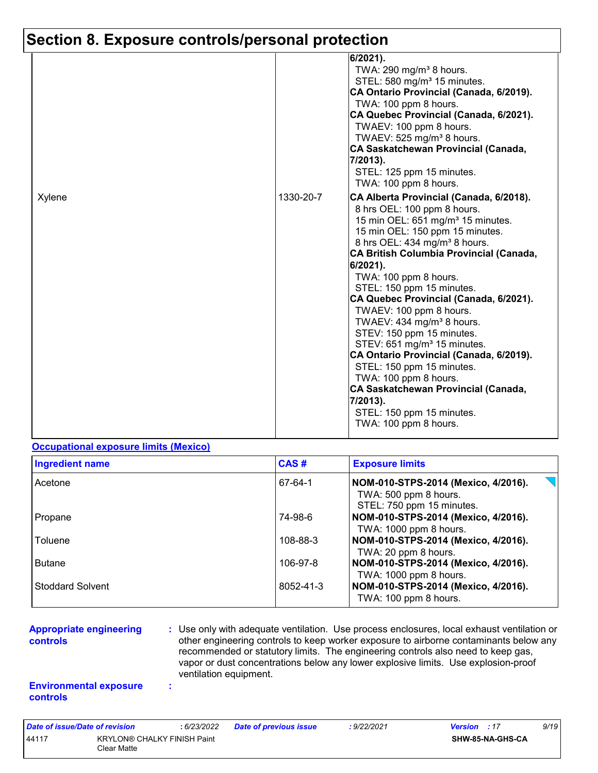|        |           | 6/2021).<br>TWA: 290 mg/m <sup>3</sup> 8 hours.<br>STEL: 580 mg/m <sup>3</sup> 15 minutes.<br>CA Ontario Provincial (Canada, 6/2019).<br>TWA: 100 ppm 8 hours.<br>CA Quebec Provincial (Canada, 6/2021).<br>TWAEV: 100 ppm 8 hours.<br>TWAEV: 525 mg/m <sup>3</sup> 8 hours.<br><b>CA Saskatchewan Provincial (Canada,</b><br>7/2013).<br>STEL: 125 ppm 15 minutes.<br>TWA: 100 ppm 8 hours.                                                                                                                                                                                                                                                                                                                                |
|--------|-----------|-----------------------------------------------------------------------------------------------------------------------------------------------------------------------------------------------------------------------------------------------------------------------------------------------------------------------------------------------------------------------------------------------------------------------------------------------------------------------------------------------------------------------------------------------------------------------------------------------------------------------------------------------------------------------------------------------------------------------------|
| Xylene | 1330-20-7 | CA Alberta Provincial (Canada, 6/2018).<br>8 hrs OEL: 100 ppm 8 hours.<br>15 min OEL: 651 mg/m <sup>3</sup> 15 minutes.<br>15 min OEL: 150 ppm 15 minutes.<br>8 hrs OEL: 434 mg/m <sup>3</sup> 8 hours.<br>CA British Columbia Provincial (Canada,<br>6/2021).<br>TWA: 100 ppm 8 hours.<br>STEL: 150 ppm 15 minutes.<br>CA Quebec Provincial (Canada, 6/2021).<br>TWAEV: 100 ppm 8 hours.<br>TWAEV: 434 mg/m <sup>3</sup> 8 hours.<br>STEV: 150 ppm 15 minutes.<br>STEV: 651 mg/m <sup>3</sup> 15 minutes.<br>CA Ontario Provincial (Canada, 6/2019).<br>STEL: 150 ppm 15 minutes.<br>TWA: 100 ppm 8 hours.<br><b>CA Saskatchewan Provincial (Canada,</b><br>7/2013).<br>STEL: 150 ppm 15 minutes.<br>TWA: 100 ppm 8 hours. |

#### **Occupational exposure limits (Mexico)**

| <b>Ingredient name</b>  | CAS#      | <b>Exposure limits</b>                                                                    |
|-------------------------|-----------|-------------------------------------------------------------------------------------------|
| Acetone                 | 67-64-1   | NOM-010-STPS-2014 (Mexico, 4/2016).<br>TWA: 500 ppm 8 hours.<br>STEL: 750 ppm 15 minutes. |
| Propane                 | 74-98-6   | NOM-010-STPS-2014 (Mexico, 4/2016).<br>TWA: 1000 ppm 8 hours.                             |
| Toluene                 | 108-88-3  | NOM-010-STPS-2014 (Mexico, 4/2016).<br>TWA: 20 ppm 8 hours.                               |
| <b>Butane</b>           | 106-97-8  | NOM-010-STPS-2014 (Mexico, 4/2016).<br>TWA: 1000 ppm 8 hours.                             |
| <b>Stoddard Solvent</b> | 8052-41-3 | NOM-010-STPS-2014 (Mexico, 4/2016).<br>TWA: 100 ppm 8 hours.                              |

#### **Appropriate engineering controls**

**:** Use only with adequate ventilation. Use process enclosures, local exhaust ventilation or other engineering controls to keep worker exposure to airborne contaminants below any recommended or statutory limits. The engineering controls also need to keep gas, vapor or dust concentrations below any lower explosive limits. Use explosion-proof ventilation equipment.

#### **Environmental exposure controls**

**:**

| Date of issue/Date of revision                             |  | : 6/23/2022 | <b>Date of previous issue</b> | : 9/22/2021      | <b>Version</b> : 17 | 9/19 |
|------------------------------------------------------------|--|-------------|-------------------------------|------------------|---------------------|------|
| 44117<br><b>KRYLON® CHALKY FINISH Paint</b><br>Clear Matte |  |             |                               | SHW-85-NA-GHS-CA |                     |      |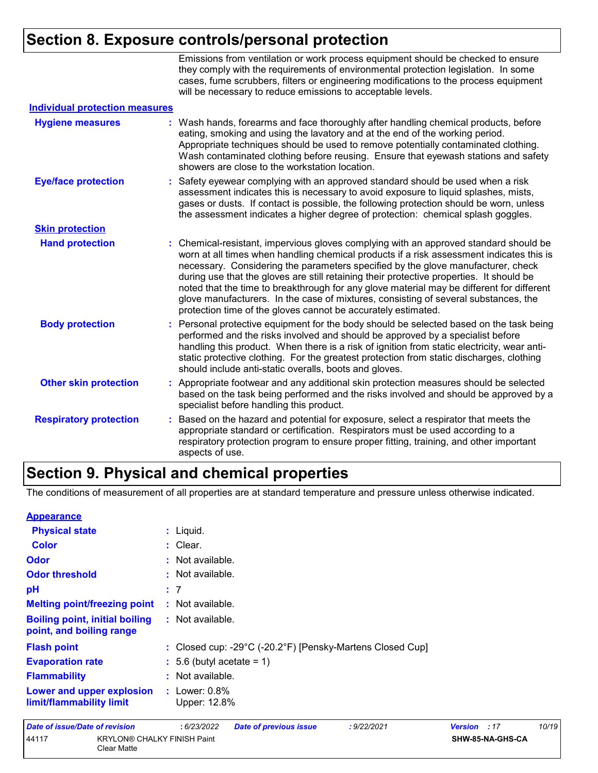|                                       | Emissions from ventilation or work process equipment should be checked to ensure<br>they comply with the requirements of environmental protection legislation. In some<br>cases, fume scrubbers, filters or engineering modifications to the process equipment<br>will be necessary to reduce emissions to acceptable levels.                                                                                                                                                                                                                                                                                        |
|---------------------------------------|----------------------------------------------------------------------------------------------------------------------------------------------------------------------------------------------------------------------------------------------------------------------------------------------------------------------------------------------------------------------------------------------------------------------------------------------------------------------------------------------------------------------------------------------------------------------------------------------------------------------|
| <b>Individual protection measures</b> |                                                                                                                                                                                                                                                                                                                                                                                                                                                                                                                                                                                                                      |
| <b>Hygiene measures</b>               | Wash hands, forearms and face thoroughly after handling chemical products, before<br>eating, smoking and using the lavatory and at the end of the working period.<br>Appropriate techniques should be used to remove potentially contaminated clothing.<br>Wash contaminated clothing before reusing. Ensure that eyewash stations and safety<br>showers are close to the workstation location.                                                                                                                                                                                                                      |
| <b>Eye/face protection</b>            | Safety eyewear complying with an approved standard should be used when a risk<br>assessment indicates this is necessary to avoid exposure to liquid splashes, mists,<br>gases or dusts. If contact is possible, the following protection should be worn, unless<br>the assessment indicates a higher degree of protection: chemical splash goggles.                                                                                                                                                                                                                                                                  |
| <b>Skin protection</b>                |                                                                                                                                                                                                                                                                                                                                                                                                                                                                                                                                                                                                                      |
| <b>Hand protection</b>                | Chemical-resistant, impervious gloves complying with an approved standard should be<br>worn at all times when handling chemical products if a risk assessment indicates this is<br>necessary. Considering the parameters specified by the glove manufacturer, check<br>during use that the gloves are still retaining their protective properties. It should be<br>noted that the time to breakthrough for any glove material may be different for different<br>glove manufacturers. In the case of mixtures, consisting of several substances, the<br>protection time of the gloves cannot be accurately estimated. |
| <b>Body protection</b>                | Personal protective equipment for the body should be selected based on the task being<br>÷<br>performed and the risks involved and should be approved by a specialist before<br>handling this product. When there is a risk of ignition from static electricity, wear anti-<br>static protective clothing. For the greatest protection from static discharges, clothing<br>should include anti-static overalls, boots and gloves.                                                                                                                                                                                    |
| <b>Other skin protection</b>          | Appropriate footwear and any additional skin protection measures should be selected<br>based on the task being performed and the risks involved and should be approved by a<br>specialist before handling this product.                                                                                                                                                                                                                                                                                                                                                                                              |
| <b>Respiratory protection</b>         | Based on the hazard and potential for exposure, select a respirator that meets the<br>÷.<br>appropriate standard or certification. Respirators must be used according to a<br>respiratory protection program to ensure proper fitting, training, and other important<br>aspects of use.                                                                                                                                                                                                                                                                                                                              |

### **Section 9. Physical and chemical properties**

44117 KRYLON® CHALKY FINISH Paint Clear Matte

The conditions of measurement of all properties are at standard temperature and pressure unless otherwise indicated.

| <b>Appearance</b>                                                 |                                                                                 |                |     |       |
|-------------------------------------------------------------------|---------------------------------------------------------------------------------|----------------|-----|-------|
| <b>Physical state</b>                                             | $:$ Liquid.                                                                     |                |     |       |
| <b>Color</b>                                                      | : Clear.                                                                        |                |     |       |
| Odor                                                              | : Not available.                                                                |                |     |       |
| <b>Odor threshold</b>                                             | $\cdot$ Not available.                                                          |                |     |       |
| pH                                                                | : 7                                                                             |                |     |       |
| <b>Melting point/freezing point</b>                               | : Not available.                                                                |                |     |       |
| <b>Boiling point, initial boiling</b><br>point, and boiling range | : Not available.                                                                |                |     |       |
| <b>Flash point</b>                                                | : Closed cup: -29 $^{\circ}$ C (-20.2 $^{\circ}$ F) [Pensky-Martens Closed Cup] |                |     |       |
| <b>Evaporation rate</b>                                           | $\therefore$ 5.6 (butyl acetate = 1)                                            |                |     |       |
| <b>Flammability</b>                                               | : Not available.                                                                |                |     |       |
| Lower and upper explosion<br>limit/flammability limit             | : Lower: $0.8\%$<br>Upper: 12.8%                                                |                |     |       |
| <b>Date of issue/Date of revision</b>                             | : 6/23/2022<br><b>Date of previous issue</b><br>: 9/22/2021                     | <b>Version</b> | :17 | 10/19 |

**SHW-85-NA-GHS-CA**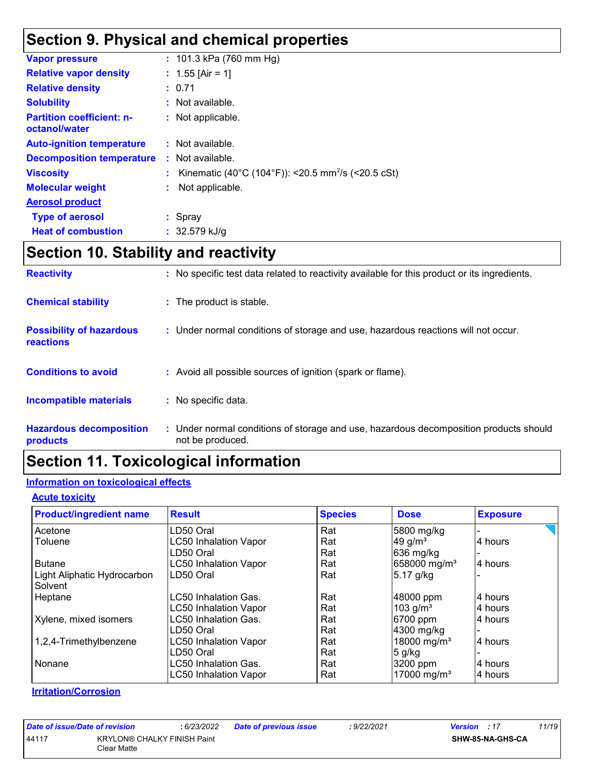## **Section 9. Physical and chemical properties**

| <b>Vapor pressure</b>                             |    | : $101.3$ kPa (760 mm Hg)                                      |
|---------------------------------------------------|----|----------------------------------------------------------------|
| <b>Relative vapor density</b>                     |    | : 1.55 [Air = 1]                                               |
| <b>Relative density</b>                           |    | : 0.71                                                         |
| <b>Solubility</b>                                 |    | : Not available.                                               |
| <b>Partition coefficient: n-</b><br>octanol/water |    | : Not applicable.                                              |
| <b>Auto-ignition temperature</b>                  |    | : Not available.                                               |
| <b>Decomposition temperature</b>                  |    | : Not available.                                               |
| <b>Viscosity</b>                                  |    | Kinematic (40°C (104°F)): <20.5 mm <sup>2</sup> /s (<20.5 cSt) |
| <b>Molecular weight</b>                           | ÷. | Not applicable.                                                |
| <b>Aerosol product</b>                            |    |                                                                |
| <b>Type of aerosol</b>                            |    | : Spray                                                        |
| <b>Heat of combustion</b>                         |    | : $32.579$ kJ/g                                                |
|                                                   |    |                                                                |

# **Section 10. Stability and reactivity**

| <b>Reactivity</b>                            | : No specific test data related to reactivity available for this product or its ingredients.              |
|----------------------------------------------|-----------------------------------------------------------------------------------------------------------|
| <b>Chemical stability</b>                    | : The product is stable.                                                                                  |
| <b>Possibility of hazardous</b><br>reactions | : Under normal conditions of storage and use, hazardous reactions will not occur.                         |
| <b>Conditions to avoid</b>                   | : Avoid all possible sources of ignition (spark or flame).                                                |
| <b>Incompatible materials</b>                | : No specific data.                                                                                       |
| <b>Hazardous decomposition</b><br>products   | : Under normal conditions of storage and use, hazardous decomposition products should<br>not be produced. |

# **Section 11. Toxicological information**

### **Information on toxicological effects**

### **Acute toxicity**

| <b>Product/ingredient name</b> | <b>Result</b>                | <b>Species</b> | <b>Dose</b>              | <b>Exposure</b> |
|--------------------------------|------------------------------|----------------|--------------------------|-----------------|
| Acetone                        | LD50 Oral                    | Rat            | 5800 mg/kg               |                 |
| Toluene                        | <b>LC50 Inhalation Vapor</b> | Rat            | 49 g/ $m3$               | 4 hours         |
|                                | LD50 Oral                    | Rat            | 636 mg/kg                |                 |
| <b>Butane</b>                  | <b>LC50 Inhalation Vapor</b> | Rat            | 658000 mg/m <sup>3</sup> | 4 hours         |
| Light Aliphatic Hydrocarbon    | LD50 Oral                    | Rat            | 5.17 g/kg                |                 |
| Solvent                        |                              |                |                          |                 |
| Heptane                        | LC50 Inhalation Gas.         | Rat            | 48000 ppm                | 4 hours         |
|                                | <b>LC50 Inhalation Vapor</b> | Rat            | 103 $g/m^3$              | 4 hours         |
| Xylene, mixed isomers          | <b>LC50 Inhalation Gas.</b>  | Rat            | 6700 ppm                 | 4 hours         |
|                                | LD50 Oral                    | Rat            | 4300 mg/kg               |                 |
| 1,2,4-Trimethylbenzene         | <b>LC50 Inhalation Vapor</b> | Rat            | 18000 mg/m <sup>3</sup>  | 4 hours         |
|                                | LD50 Oral                    | Rat            | 5 g/kg                   |                 |
| Nonane                         | LC50 Inhalation Gas.         | Rat            | 3200 ppm                 | 4 hours         |
|                                | <b>LC50 Inhalation Vapor</b> | Rat            | 17000 mg/m <sup>3</sup>  | 4 hours         |

### **Irritation/Corrosion**

| Date of issue/Date of revision |             | : 6/23/2022                        | <b>Date of previous issue</b> | : 9/22/2021 | 11/19<br><b>Version</b> : 17 |
|--------------------------------|-------------|------------------------------------|-------------------------------|-------------|------------------------------|
| 44117                          | Clear Matte | <b>KRYLON® CHALKY FINISH Paint</b> |                               |             | SHW-85-NA-GHS-CA             |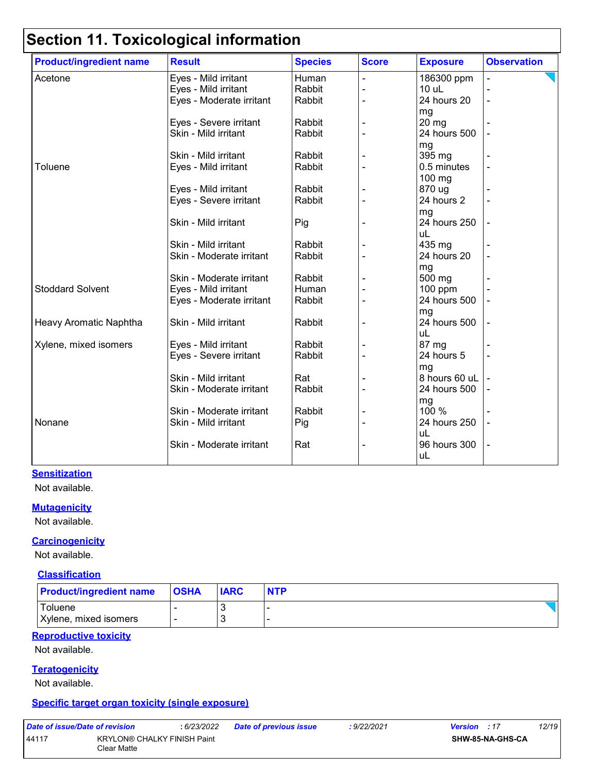| <b>Product/ingredient name</b> | <b>Result</b>            | <b>Species</b> | <b>Score</b> | <b>Exposure</b> | <b>Observation</b> |
|--------------------------------|--------------------------|----------------|--------------|-----------------|--------------------|
| Acetone                        | Eyes - Mild irritant     | Human          |              | 186300 ppm      |                    |
|                                | Eyes - Mild irritant     | Rabbit         |              | 10 uL           |                    |
|                                | Eyes - Moderate irritant | Rabbit         |              | 24 hours 20     |                    |
|                                |                          |                |              | mg              |                    |
|                                | Eyes - Severe irritant   | Rabbit         |              | 20 mg           |                    |
|                                | Skin - Mild irritant     | Rabbit         |              | 24 hours 500    |                    |
|                                |                          |                |              | mg              |                    |
|                                | Skin - Mild irritant     | Rabbit         |              | 395 mg          |                    |
| Toluene                        | Eyes - Mild irritant     | Rabbit         |              | 0.5 minutes     |                    |
|                                |                          |                |              | $100$ mg        |                    |
|                                | Eyes - Mild irritant     | Rabbit         |              | 870 ug          |                    |
|                                | Eyes - Severe irritant   | Rabbit         |              | 24 hours 2      |                    |
|                                |                          |                |              | mg              |                    |
|                                | Skin - Mild irritant     | Pig            |              | 24 hours 250    |                    |
|                                |                          |                |              | uL              |                    |
|                                | Skin - Mild irritant     | Rabbit         |              | 435 mg          |                    |
|                                | Skin - Moderate irritant | Rabbit         |              | 24 hours 20     |                    |
|                                |                          |                |              | mg              |                    |
|                                | Skin - Moderate irritant | Rabbit         |              | 500 mg          |                    |
| <b>Stoddard Solvent</b>        | Eyes - Mild irritant     | Human          |              | $100$ ppm       |                    |
|                                | Eyes - Moderate irritant | Rabbit         |              | 24 hours 500    |                    |
|                                |                          |                |              | mg              |                    |
| Heavy Aromatic Naphtha         | Skin - Mild irritant     | Rabbit         |              | 24 hours 500    |                    |
|                                |                          |                |              | uL              |                    |
| Xylene, mixed isomers          | Eyes - Mild irritant     | Rabbit         |              | 87 mg           |                    |
|                                | Eyes - Severe irritant   | Rabbit         |              | 24 hours 5      |                    |
|                                |                          |                |              | mg              |                    |
|                                | Skin - Mild irritant     | Rat            |              | 8 hours 60 uL   |                    |
|                                | Skin - Moderate irritant | Rabbit         |              | 24 hours 500    |                    |
|                                |                          |                |              | mg              |                    |
|                                | Skin - Moderate irritant | Rabbit         |              | 100 %           |                    |
| Nonane                         | Skin - Mild irritant     | Pig            |              | 24 hours 250    |                    |
|                                |                          |                |              | uL              |                    |
|                                | Skin - Moderate irritant | Rat            |              | 96 hours 300    |                    |
|                                |                          |                |              | uL              |                    |
|                                |                          |                |              |                 |                    |

### **Sensitization**

Not available.

#### **Mutagenicity**

Not available.

### **Carcinogenicity**

Not available.

### **Classification**

| <b>Product/ingredient name</b>   | <b>OSHA</b> | <b>IARC</b> | <b>NTP</b> |
|----------------------------------|-------------|-------------|------------|
| Toluene<br>Xylene, mixed isomers |             | u<br>N      |            |

### **Reproductive toxicity**

Not available.

#### **Teratogenicity**

Not available.

### **Specific target organ toxicity (single exposure)**

| Date of issue/Date of revision |                                                   | :6/23/2022 |
|--------------------------------|---------------------------------------------------|------------|
| 44117                          | <b>KRYLON® CHALKY FINISH Paint</b><br>Clear Matte |            |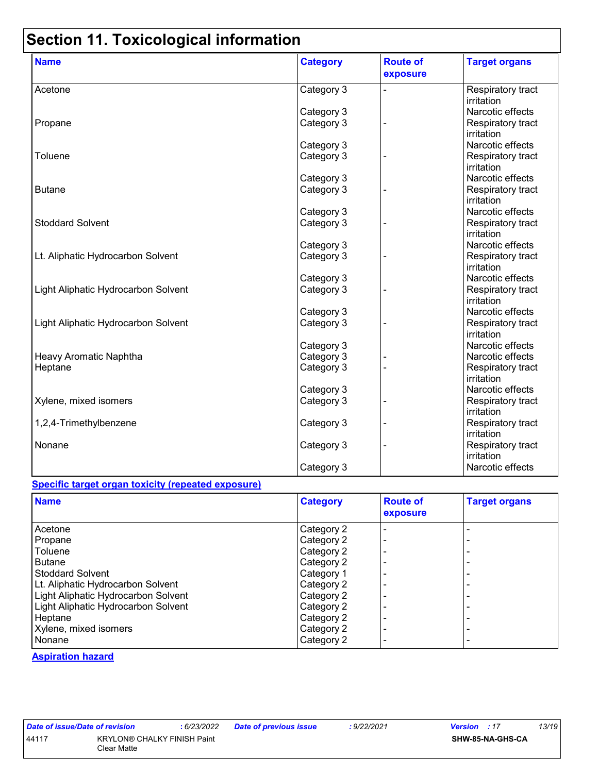| <b>Name</b>                         | <b>Category</b> | <b>Route of</b><br>exposure | <b>Target organs</b>            |
|-------------------------------------|-----------------|-----------------------------|---------------------------------|
| Acetone                             | Category 3      |                             | Respiratory tract<br>irritation |
|                                     | Category 3      |                             | Narcotic effects                |
| Propane                             | Category 3      |                             | Respiratory tract<br>irritation |
|                                     | Category 3      |                             | Narcotic effects                |
| Toluene                             | Category 3      |                             | Respiratory tract<br>irritation |
|                                     | Category 3      |                             | Narcotic effects                |
| <b>Butane</b>                       | Category 3      |                             | Respiratory tract<br>irritation |
|                                     | Category 3      |                             | Narcotic effects                |
| <b>Stoddard Solvent</b>             | Category 3      |                             | Respiratory tract<br>irritation |
|                                     | Category 3      |                             | Narcotic effects                |
| Lt. Aliphatic Hydrocarbon Solvent   | Category 3      |                             | Respiratory tract<br>irritation |
|                                     | Category 3      |                             | Narcotic effects                |
| Light Aliphatic Hydrocarbon Solvent | Category 3      |                             | Respiratory tract<br>irritation |
|                                     | Category 3      |                             | Narcotic effects                |
| Light Aliphatic Hydrocarbon Solvent | Category 3      |                             | Respiratory tract<br>irritation |
|                                     | Category 3      |                             | Narcotic effects                |
| Heavy Aromatic Naphtha              | Category 3      |                             | Narcotic effects                |
| Heptane                             | Category 3      |                             | Respiratory tract<br>irritation |
|                                     | Category 3      |                             | Narcotic effects                |
| Xylene, mixed isomers               | Category 3      |                             | Respiratory tract<br>irritation |
| 1,2,4-Trimethylbenzene              | Category 3      |                             | Respiratory tract<br>irritation |
| Nonane                              | Category 3      |                             | Respiratory tract<br>irritation |
|                                     | Category 3      |                             | Narcotic effects                |

### **Specific target organ toxicity (repeated exposure)**

| <b>Name</b>                         | <b>Category</b> | <b>Route of</b><br>exposure | <b>Target organs</b> |
|-------------------------------------|-----------------|-----------------------------|----------------------|
| Acetone                             | Category 2      |                             |                      |
| Propane                             | Category 2      |                             |                      |
| Toluene                             | Category 2      |                             |                      |
| <b>Butane</b>                       | Category 2      |                             |                      |
| <b>Stoddard Solvent</b>             | Category 1      |                             |                      |
| Lt. Aliphatic Hydrocarbon Solvent   | Category 2      |                             |                      |
| Light Aliphatic Hydrocarbon Solvent | Category 2      |                             |                      |
| Light Aliphatic Hydrocarbon Solvent | Category 2      |                             |                      |
| Heptane                             | Category 2      |                             |                      |
| Xylene, mixed isomers               | Category 2      |                             |                      |
| Nonane                              | Category 2      |                             |                      |

#### **Aspiration hazard**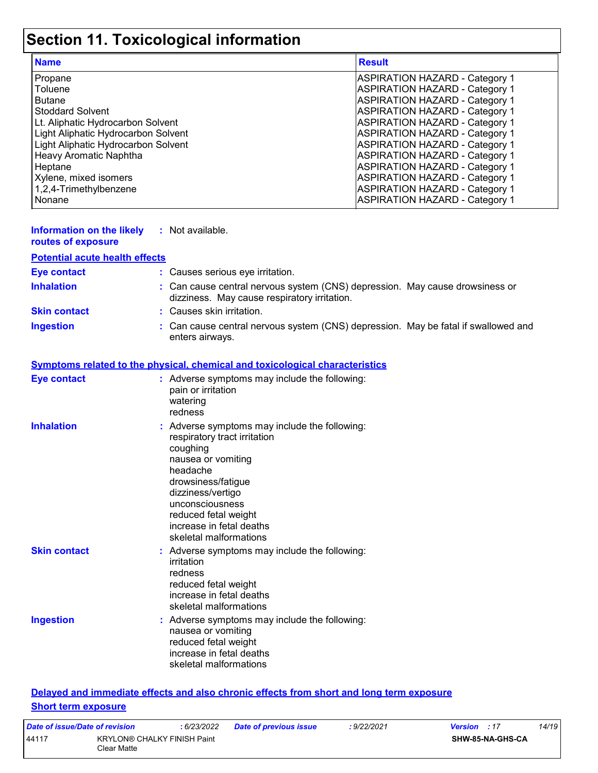| <b>Name</b>                         | <b>Result</b>                         |
|-------------------------------------|---------------------------------------|
| Propane                             | <b>ASPIRATION HAZARD - Category 1</b> |
| Toluene                             | <b>ASPIRATION HAZARD - Category 1</b> |
| <b>Butane</b>                       | <b>ASPIRATION HAZARD - Category 1</b> |
| <b>Stoddard Solvent</b>             | <b>ASPIRATION HAZARD - Category 1</b> |
| Lt. Aliphatic Hydrocarbon Solvent   | <b>ASPIRATION HAZARD - Category 1</b> |
| Light Aliphatic Hydrocarbon Solvent | <b>ASPIRATION HAZARD - Category 1</b> |
| Light Aliphatic Hydrocarbon Solvent | <b>ASPIRATION HAZARD - Category 1</b> |
| Heavy Aromatic Naphtha              | <b>ASPIRATION HAZARD - Category 1</b> |
| Heptane                             | <b>ASPIRATION HAZARD - Category 1</b> |
| Xylene, mixed isomers               | <b>ASPIRATION HAZARD - Category 1</b> |
| 1,2,4-Trimethylbenzene              | <b>ASPIRATION HAZARD - Category 1</b> |
| Nonane                              | <b>ASPIRATION HAZARD - Category 1</b> |

| <b>Information on the likely</b><br>routes of exposure | : Not available.                                                                                                                                                                                                                                                      |
|--------------------------------------------------------|-----------------------------------------------------------------------------------------------------------------------------------------------------------------------------------------------------------------------------------------------------------------------|
| <b>Potential acute health effects</b>                  |                                                                                                                                                                                                                                                                       |
| <b>Eye contact</b>                                     | : Causes serious eye irritation.                                                                                                                                                                                                                                      |
| <b>Inhalation</b>                                      | : Can cause central nervous system (CNS) depression. May cause drowsiness or<br>dizziness. May cause respiratory irritation.                                                                                                                                          |
| <b>Skin contact</b>                                    | : Causes skin irritation.                                                                                                                                                                                                                                             |
| <b>Ingestion</b>                                       | Can cause central nervous system (CNS) depression. May be fatal if swallowed and<br>enters airways.                                                                                                                                                                   |
|                                                        | <b>Symptoms related to the physical, chemical and toxicological characteristics</b>                                                                                                                                                                                   |
| <b>Eye contact</b>                                     | : Adverse symptoms may include the following:<br>pain or irritation<br>watering<br>redness                                                                                                                                                                            |
| <b>Inhalation</b>                                      | Adverse symptoms may include the following:<br>respiratory tract irritation<br>coughing<br>nausea or vomiting<br>headache<br>drowsiness/fatigue<br>dizziness/vertigo<br>unconsciousness<br>reduced fetal weight<br>increase in fetal deaths<br>skeletal malformations |
| <b>Skin contact</b>                                    | : Adverse symptoms may include the following:<br>irritation<br>redness<br>reduced fetal weight<br>increase in fetal deaths<br>skeletal malformations                                                                                                                  |
| <b>Ingestion</b>                                       | : Adverse symptoms may include the following:<br>nausea or vomiting<br>reduced fetal weight<br>increase in fetal deaths<br>skeletal malformations                                                                                                                     |

### **Delayed and immediate effects and also chronic effects from short and long term exposure Short term exposure**

| Date of issue/Date of revision |                                                   | : 6/23/2022 | <b>Date of previous issue</b> | : 9/22/2021 | <b>Version</b> : 17 |                  | 14/19 |
|--------------------------------|---------------------------------------------------|-------------|-------------------------------|-------------|---------------------|------------------|-------|
| 44117                          | <b>KRYLON® CHALKY FINISH Paint</b><br>Clear Matte |             |                               |             |                     | SHW-85-NA-GHS-CA |       |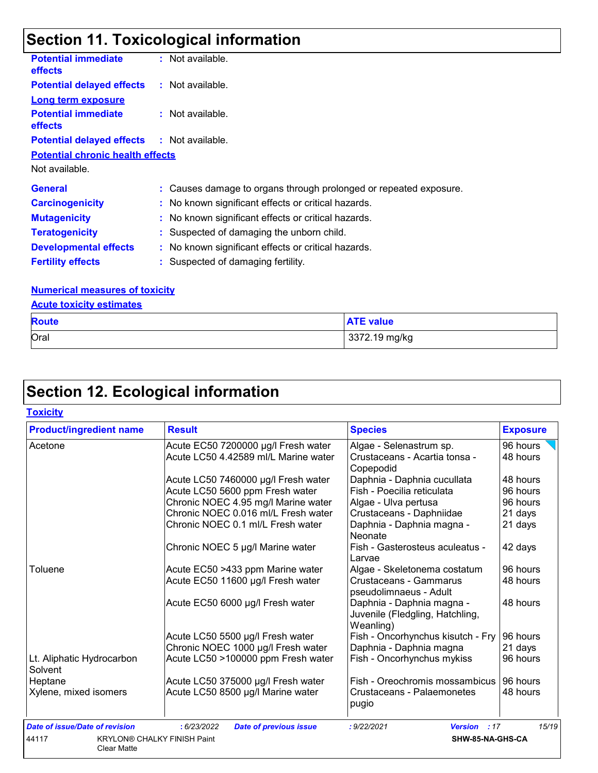| <b>Potential immediate</b><br><b>effects</b>      | : Not available.                                                  |
|---------------------------------------------------|-------------------------------------------------------------------|
| <b>Potential delayed effects</b>                  | : Not available.                                                  |
| <b>Long term exposure</b>                         |                                                                   |
| <b>Potential immediate</b><br>effects             | : Not available.                                                  |
| <b>Potential delayed effects : Not available.</b> |                                                                   |
| <b>Potential chronic health effects</b>           |                                                                   |
| Not available.                                    |                                                                   |
| <b>General</b>                                    | : Causes damage to organs through prolonged or repeated exposure. |
| <b>Carcinogenicity</b>                            | : No known significant effects or critical hazards.               |
| <b>Mutagenicity</b>                               | : No known significant effects or critical hazards.               |
| <b>Teratogenicity</b>                             | : Suspected of damaging the unborn child.                         |
| <b>Developmental effects</b>                      | : No known significant effects or critical hazards.               |
| <b>Fertility effects</b>                          | : Suspected of damaging fertility.                                |

### **Numerical measures of toxicity**

| <b>Acute toxicity estimates</b> |                  |  |  |  |
|---------------------------------|------------------|--|--|--|
| <b>Route</b>                    | <b>ATE value</b> |  |  |  |
| Oral                            | 3372.19 mg/kg    |  |  |  |

# **Section 12. Ecological information**

### **Toxicity**

| <b>Product/ingredient name</b>        | <b>Result</b>                                | <b>Species</b>                               | <b>Exposure</b> |
|---------------------------------------|----------------------------------------------|----------------------------------------------|-----------------|
| Acetone                               | Acute EC50 7200000 µg/l Fresh water          | Algae - Selenastrum sp.                      | 96 hours        |
|                                       | Acute LC50 4.42589 ml/L Marine water         | Crustaceans - Acartia tonsa -                | 48 hours        |
|                                       |                                              | Copepodid                                    |                 |
|                                       | Acute LC50 7460000 µg/l Fresh water          | Daphnia - Daphnia cucullata                  | 48 hours        |
|                                       | Acute LC50 5600 ppm Fresh water              | Fish - Poecilia reticulata                   | 96 hours        |
|                                       | Chronic NOEC 4.95 mg/l Marine water          | Algae - Ulva pertusa                         | 96 hours        |
|                                       | Chronic NOEC 0.016 ml/L Fresh water          | Crustaceans - Daphniidae                     | 21 days         |
|                                       | Chronic NOEC 0.1 ml/L Fresh water            | Daphnia - Daphnia magna -                    | 21 days         |
|                                       |                                              | Neonate                                      |                 |
|                                       | Chronic NOEC 5 µg/l Marine water             | Fish - Gasterosteus aculeatus -              | 42 days         |
|                                       |                                              | Larvae                                       |                 |
| Toluene                               | Acute EC50 >433 ppm Marine water             | Algae - Skeletonema costatum                 | 96 hours        |
|                                       | Acute EC50 11600 µg/l Fresh water            | Crustaceans - Gammarus                       | 48 hours        |
|                                       |                                              | pseudolimnaeus - Adult                       |                 |
|                                       | Acute EC50 6000 µg/l Fresh water             | Daphnia - Daphnia magna -                    | 48 hours        |
|                                       |                                              | Juvenile (Fledgling, Hatchling,              |                 |
|                                       |                                              | Weanling)                                    |                 |
|                                       | Acute LC50 5500 µg/l Fresh water             | Fish - Oncorhynchus kisutch - Fry   96 hours |                 |
|                                       | Chronic NOEC 1000 µg/l Fresh water           | Daphnia - Daphnia magna                      | 21 days         |
| Lt. Aliphatic Hydrocarbon             | Acute LC50 >100000 ppm Fresh water           | Fish - Oncorhynchus mykiss                   | 96 hours        |
| Solvent                               |                                              |                                              |                 |
| Heptane                               | Acute LC50 375000 µg/l Fresh water           | Fish - Oreochromis mossambicus               | 96 hours        |
| Xylene, mixed isomers                 | Acute LC50 8500 µg/l Marine water            | Crustaceans - Palaemonetes                   | 48 hours        |
|                                       |                                              | pugio                                        |                 |
| <b>Date of issue/Date of revision</b> | : 6/23/2022<br><b>Date of previous issue</b> | : 9/22/2021<br><b>Version</b> : 17           | 15/19           |
| 44117                                 | <b>KRYLON® CHALKY FINISH Paint</b>           | SHW-85-NA-GHS-CA                             |                 |
| <b>Clear Matte</b>                    |                                              |                                              |                 |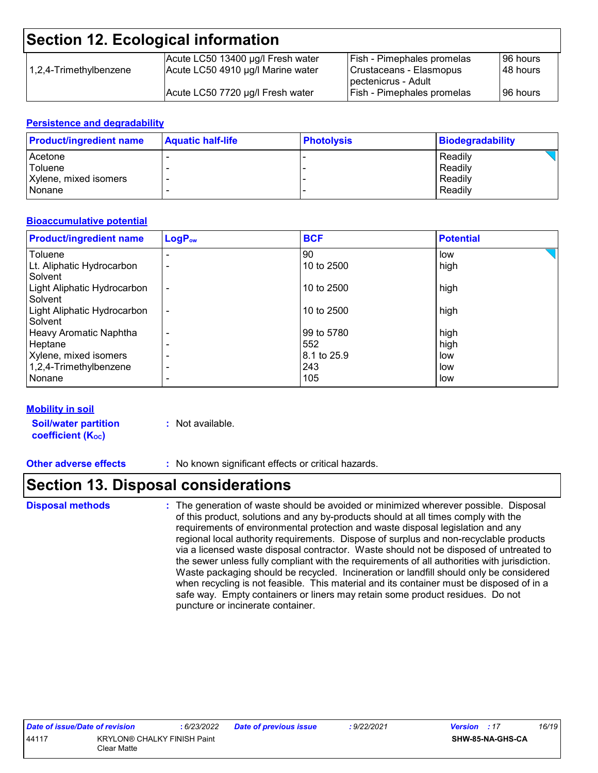| 1,2,4-Trimethylbenzene | Acute LC50 13400 µg/l Fresh water | <b>Fish - Pimephales promelas</b>                         | I96 hours    |
|------------------------|-----------------------------------|-----------------------------------------------------------|--------------|
|                        | Acute LC50 4910 µg/l Marine water | Crustaceans - Elasmopus                                   | l 48 hours l |
|                        | Acute LC50 7720 µg/l Fresh water  | Tpectenicrus - Adult<br><b>Fish - Pimephales promelas</b> | l 96 hours   |

### **Persistence and degradability**

| <b>Product/ingredient name</b> | <b>Aquatic half-life</b> | <b>Photolysis</b> | <b>Biodegradability</b> |
|--------------------------------|--------------------------|-------------------|-------------------------|
| Acetone                        |                          |                   | Readily                 |
| Toluene                        |                          |                   | Readily                 |
| Xylene, mixed isomers          |                          |                   | Readily                 |
| l Nonane                       |                          |                   | Readily                 |

### **Bioaccumulative potential**

| <b>Product/ingredient name</b>         | $LogP_{ow}$    | <b>BCF</b>  | <b>Potential</b> |
|----------------------------------------|----------------|-------------|------------------|
| Toluene                                |                | 90          | low              |
| Lt. Aliphatic Hydrocarbon<br>Solvent   |                | 10 to 2500  | high             |
| Light Aliphatic Hydrocarbon<br>Solvent | $\blacksquare$ | 10 to 2500  | high             |
| Light Aliphatic Hydrocarbon<br>Solvent | ۰              | 10 to 2500  | high             |
| Heavy Aromatic Naphtha                 | -              | 99 to 5780  | high             |
| Heptane                                |                | 552         | high             |
| Xylene, mixed isomers                  |                | 8.1 to 25.9 | low              |
| 1,2,4-Trimethylbenzene                 | -              | 243         | low              |
| Nonane                                 |                | 105         | low              |

### **Mobility in soil**

**Soil/water partition coefficient (K**<sub>oc</sub>)

- **:** Not available.
- **Other adverse effects :** No known significant effects or critical hazards.

### **Section 13. Disposal considerations**

**Disposal methods :**

The generation of waste should be avoided or minimized wherever possible. Disposal of this product, solutions and any by-products should at all times comply with the requirements of environmental protection and waste disposal legislation and any regional local authority requirements. Dispose of surplus and non-recyclable products via a licensed waste disposal contractor. Waste should not be disposed of untreated to the sewer unless fully compliant with the requirements of all authorities with jurisdiction. Waste packaging should be recycled. Incineration or landfill should only be considered when recycling is not feasible. This material and its container must be disposed of in a safe way. Empty containers or liners may retain some product residues. Do not puncture or incinerate container.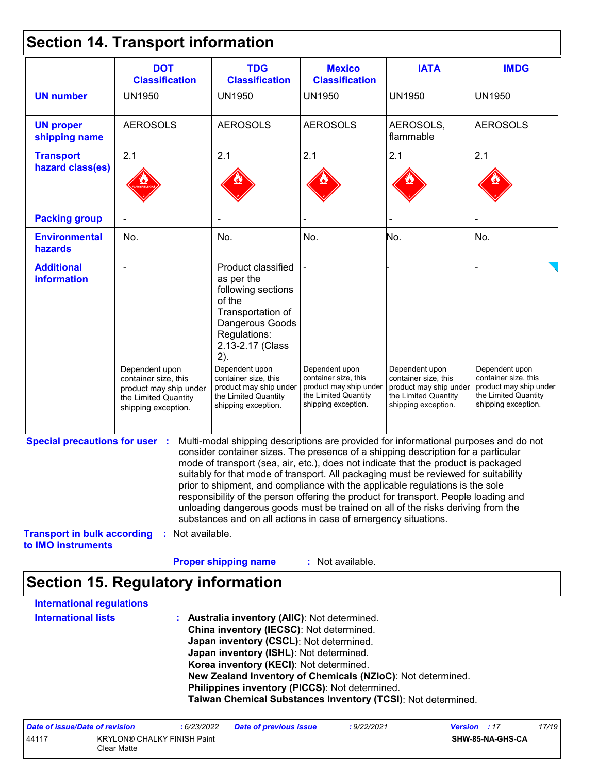# **Section 14. Transport information**

|                                                                             | <b>DOT</b><br><b>Classification</b>                                                                             | <b>TDG</b><br><b>Classification</b>                                                                                                                                                                                                                                                                                                                                                                                                                                                                                                                                                                                                                                                 | <b>Mexico</b><br><b>Classification</b>                                                                          | <b>IATA</b>                                                                                                     | <b>IMDG</b>                                                                                                     |
|-----------------------------------------------------------------------------|-----------------------------------------------------------------------------------------------------------------|-------------------------------------------------------------------------------------------------------------------------------------------------------------------------------------------------------------------------------------------------------------------------------------------------------------------------------------------------------------------------------------------------------------------------------------------------------------------------------------------------------------------------------------------------------------------------------------------------------------------------------------------------------------------------------------|-----------------------------------------------------------------------------------------------------------------|-----------------------------------------------------------------------------------------------------------------|-----------------------------------------------------------------------------------------------------------------|
| <b>UN number</b>                                                            | <b>UN1950</b>                                                                                                   | <b>UN1950</b>                                                                                                                                                                                                                                                                                                                                                                                                                                                                                                                                                                                                                                                                       | <b>UN1950</b>                                                                                                   | <b>UN1950</b>                                                                                                   | <b>UN1950</b>                                                                                                   |
| <b>UN proper</b><br>shipping name                                           | <b>AEROSOLS</b>                                                                                                 | <b>AEROSOLS</b>                                                                                                                                                                                                                                                                                                                                                                                                                                                                                                                                                                                                                                                                     | <b>AEROSOLS</b>                                                                                                 | AEROSOLS,<br>flammable                                                                                          | <b>AEROSOLS</b>                                                                                                 |
| <b>Transport</b><br>hazard class(es)                                        | 2.1                                                                                                             | 2.1                                                                                                                                                                                                                                                                                                                                                                                                                                                                                                                                                                                                                                                                                 | 2.1                                                                                                             | 2.1                                                                                                             | 2.1                                                                                                             |
| <b>Packing group</b>                                                        |                                                                                                                 |                                                                                                                                                                                                                                                                                                                                                                                                                                                                                                                                                                                                                                                                                     |                                                                                                                 |                                                                                                                 |                                                                                                                 |
| <b>Environmental</b><br>hazards                                             | No.                                                                                                             | No.                                                                                                                                                                                                                                                                                                                                                                                                                                                                                                                                                                                                                                                                                 | No.                                                                                                             | No.                                                                                                             | No.                                                                                                             |
| <b>Additional</b><br><b>information</b>                                     | Dependent upon<br>container size, this<br>product may ship under<br>the Limited Quantity<br>shipping exception. | Product classified<br>as per the<br>following sections<br>of the<br>Transportation of<br>Dangerous Goods<br>Regulations:<br>2.13-2.17 (Class<br>2).<br>Dependent upon<br>container size, this<br>product may ship under<br>the Limited Quantity<br>shipping exception.                                                                                                                                                                                                                                                                                                                                                                                                              | Dependent upon<br>container size, this<br>product may ship under<br>the Limited Quantity<br>shipping exception. | Dependent upon<br>container size, this<br>product may ship under<br>the Limited Quantity<br>shipping exception. | Dependent upon<br>container size, this<br>product may ship under<br>the Limited Quantity<br>shipping exception. |
| <b>Special precautions for user :</b><br><b>Transport in bulk according</b> | : Not available.                                                                                                | Multi-modal shipping descriptions are provided for informational purposes and do not<br>consider container sizes. The presence of a shipping description for a particular<br>mode of transport (sea, air, etc.), does not indicate that the product is packaged<br>suitably for that mode of transport. All packaging must be reviewed for suitability<br>prior to shipment, and compliance with the applicable regulations is the sole<br>responsibility of the person offering the product for transport. People loading and<br>unloading dangerous goods must be trained on all of the risks deriving from the<br>substances and on all actions in case of emergency situations. |                                                                                                                 |                                                                                                                 |                                                                                                                 |
| to IMO instruments                                                          |                                                                                                                 |                                                                                                                                                                                                                                                                                                                                                                                                                                                                                                                                                                                                                                                                                     |                                                                                                                 |                                                                                                                 |                                                                                                                 |
|                                                                             |                                                                                                                 | <b>Proper shipping name</b>                                                                                                                                                                                                                                                                                                                                                                                                                                                                                                                                                                                                                                                         | : Not available.                                                                                                |                                                                                                                 |                                                                                                                 |

# **Section 15. Regulatory information**

| <b>International requlations</b> |                                                              |
|----------------------------------|--------------------------------------------------------------|
| <b>International lists</b>       | Australia inventory (AIIC): Not determined.                  |
|                                  | China inventory (IECSC): Not determined.                     |
|                                  | Japan inventory (CSCL): Not determined.                      |
|                                  | Japan inventory (ISHL): Not determined.                      |
|                                  | Korea inventory (KECI): Not determined.                      |
|                                  | New Zealand Inventory of Chemicals (NZIoC): Not determined.  |
|                                  | Philippines inventory (PICCS): Not determined.               |
|                                  | Taiwan Chemical Substances Inventory (TCSI): Not determined. |

| Date of issue/Date of revision |                                                   | : 6/23/2022 | <b>Date of previous issue</b> | 9/22/2021 | <b>Version</b> : 17 |                  | 17/19 |
|--------------------------------|---------------------------------------------------|-------------|-------------------------------|-----------|---------------------|------------------|-------|
| 44117                          | <b>KRYLON® CHALKY FINISH Paint</b><br>Clear Matte |             |                               |           |                     | SHW-85-NA-GHS-CA |       |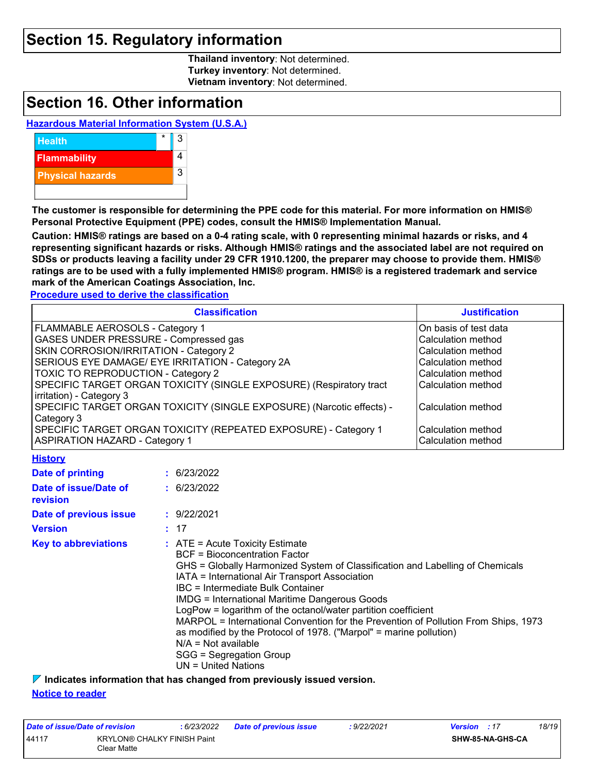### **Section 15. Regulatory information**

**Thailand inventory**: Not determined. **Turkey inventory**: Not determined. **Vietnam inventory**: Not determined.

## **Section 16. Other information**

### **Hazardous Material Information System (U.S.A.)**



**The customer is responsible for determining the PPE code for this material. For more information on HMIS® Personal Protective Equipment (PPE) codes, consult the HMIS® Implementation Manual.**

**Caution: HMIS® ratings are based on a 0-4 rating scale, with 0 representing minimal hazards or risks, and 4 representing significant hazards or risks. Although HMIS® ratings and the associated label are not required on SDSs or products leaving a facility under 29 CFR 1910.1200, the preparer may choose to provide them. HMIS® ratings are to be used with a fully implemented HMIS® program. HMIS® is a registered trademark and service mark of the American Coatings Association, Inc.**

**Procedure used to derive the classification**

| <b>Classification</b>                                                                                    | <b>Justification</b>                     |
|----------------------------------------------------------------------------------------------------------|------------------------------------------|
| FLAMMABLE AEROSOLS - Category 1                                                                          | On basis of test data                    |
| <b>GASES UNDER PRESSURE - Compressed gas</b>                                                             | <b>Calculation method</b>                |
| SKIN CORROSION/IRRITATION - Category 2                                                                   | Calculation method                       |
| SERIOUS EYE DAMAGE/ EYE IRRITATION - Category 2A                                                         | Calculation method                       |
| <b>TOXIC TO REPRODUCTION - Category 2</b>                                                                | Calculation method                       |
| SPECIFIC TARGET ORGAN TOXICITY (SINGLE EXPOSURE) (Respiratory tract<br>irritation) - Category 3          | Calculation method                       |
| SPECIFIC TARGET ORGAN TOXICITY (SINGLE EXPOSURE) (Narcotic effects) -<br>Category 3                      | Calculation method                       |
| SPECIFIC TARGET ORGAN TOXICITY (REPEATED EXPOSURE) - Category 1<br><b>ASPIRATION HAZARD - Category 1</b> | Calculation method<br>Calculation method |

### **History**

| Date of printing                  | : 6/23/2022                                                                                                                                                                                                                                                                                                                                                                                                                                                                                                                                                                                                           |
|-----------------------------------|-----------------------------------------------------------------------------------------------------------------------------------------------------------------------------------------------------------------------------------------------------------------------------------------------------------------------------------------------------------------------------------------------------------------------------------------------------------------------------------------------------------------------------------------------------------------------------------------------------------------------|
| Date of issue/Date of<br>revision | : 6/23/2022                                                                                                                                                                                                                                                                                                                                                                                                                                                                                                                                                                                                           |
| Date of previous issue            | : 9/22/2021                                                                                                                                                                                                                                                                                                                                                                                                                                                                                                                                                                                                           |
| <b>Version</b>                    | : 17                                                                                                                                                                                                                                                                                                                                                                                                                                                                                                                                                                                                                  |
| <b>Key to abbreviations</b>       | $\therefore$ ATE = Acute Toxicity Estimate<br>BCF = Bioconcentration Factor<br>GHS = Globally Harmonized System of Classification and Labelling of Chemicals<br>IATA = International Air Transport Association<br>IBC = Intermediate Bulk Container<br><b>IMDG = International Maritime Dangerous Goods</b><br>LogPow = logarithm of the octanol/water partition coefficient<br>MARPOL = International Convention for the Prevention of Pollution From Ships, 1973<br>as modified by the Protocol of 1978. ("Marpol" = marine pollution)<br>$N/A = Not available$<br>SGG = Segregation Group<br>$UN = United Nations$ |

**Indicates information that has changed from previously issued version.**

#### **Notice to reader**

| Date of issue/Date of revision |                                                   | : 6/23/2022 | <b>Date of previous issue</b> | : 9/22/2021 | <b>Version</b> : 17 | 18/19 |
|--------------------------------|---------------------------------------------------|-------------|-------------------------------|-------------|---------------------|-------|
| 44117                          | <b>KRYLON® CHALKY FINISH Paint</b><br>Clear Matte |             |                               |             | SHW-85-NA-GHS-CA    |       |